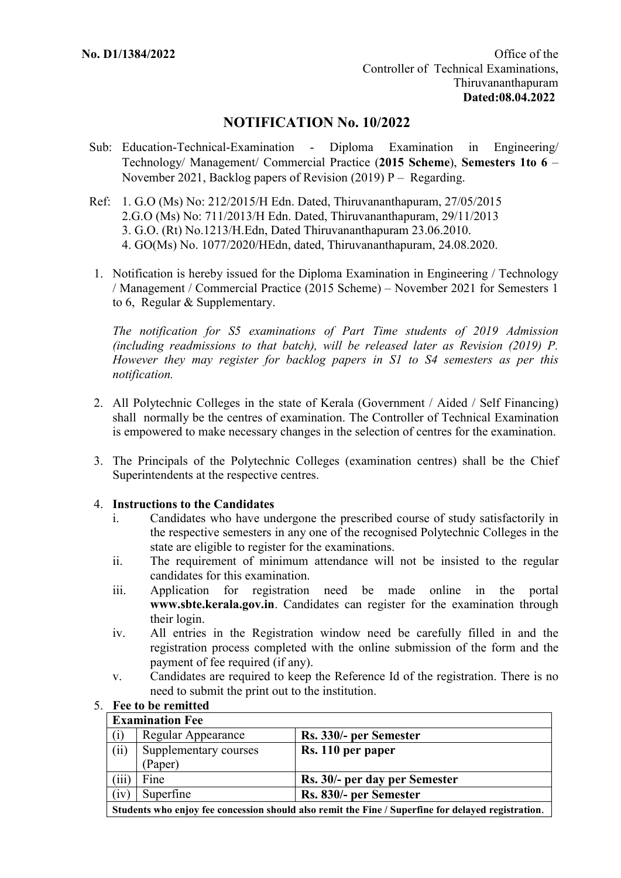# **NOTIFICATION No. 10/2022**

- Sub: Education-Technical-Examination Diploma Examination in Engineering/ Technology/ Management/ Commercial Practice (**2015 Scheme**), **Semesters 1to 6** – November 2021, Backlog papers of Revision (2019) P – Regarding.
- Ref: 1. G.O (Ms) No: 212/2015/H Edn. Dated, Thiruvananthapuram, 27/05/2015 2.G.O (Ms) No: 711/2013/H Edn. Dated, Thiruvananthapuram, 29/11/2013 3. G.O. (Rt) No.1213/H.Edn, Dated Thiruvananthapuram 23.06.2010. 4. GO(Ms) No. 1077/2020/HEdn, dated, Thiruvananthapuram, 24.08.2020.
- 1. Notification is hereby issued for the Diploma Examination in Engineering / Technology / Management / Commercial Practice (2015 Scheme) – November 2021 for Semesters 1 to 6, Regular & Supplementary.

*The notification for S5 examinations of Part Time students of 2019 Admission (including readmissions to that batch), will be released later as Revision (2019) P. However they may register for backlog papers in S1 to S4 semesters as per this notification.*

- 2. All Polytechnic Colleges in the state of Kerala (Government / Aided / Self Financing) shall normally be the centres of examination. The Controller of Technical Examination is empowered to make necessary changes in the selection of centres for the examination.
- 3. The Principals of the Polytechnic Colleges (examination centres) shall be the Chief Superintendents at the respective centres.

## 4. **Instructions to the Candidates**

- i. Candidates who have undergone the prescribed course of study satisfactorily in the respective semesters in any one of the recognised Polytechnic Colleges in the state are eligible to register for the examinations.
- ii. The requirement of minimum attendance will not be insisted to the regular candidates for this examination.
- iii. Application for registration need be made online in the portal **www.sbte.kerala.gov.in**. Candidates can register for the examination through their login.
- iv. All entries in the Registration window need be carefully filled in and the registration process completed with the online submission of the form and the payment of fee required (if any).
- v. Candidates are required to keep the Reference Id of the registration. There is no need to submit the print out to the institution.

| <b>Examination Fee</b>                                                                             |                       |                               |  |
|----------------------------------------------------------------------------------------------------|-----------------------|-------------------------------|--|
| (i)                                                                                                | Regular Appearance    | Rs. 330/- per Semester        |  |
| (ii)                                                                                               | Supplementary courses | Rs. 110 per paper             |  |
|                                                                                                    | Paper)                |                               |  |
| (iii                                                                                               | Fine                  | Rs. 30/- per day per Semester |  |
| (iv)                                                                                               | Superfine             | Rs. 830/- per Semester        |  |
| Students who enjoy fee concession should also remit the Fine / Superfine for delayed registration. |                       |                               |  |

## 5. **Fee to be remitted**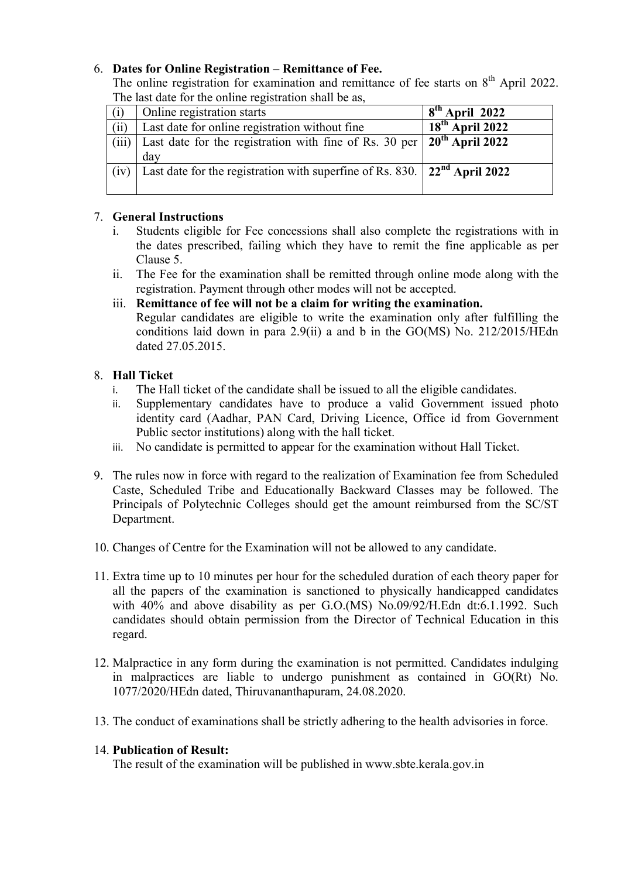## 6. **Dates for Online Registration – Remittance of Fee.**

The online registration for examination and remittance of fee starts on  $8<sup>th</sup>$  April 2022. The last date for the online registration shall be as

| Online registration starts                     | $8th$ April 2022                                                                                                                                                            |
|------------------------------------------------|-----------------------------------------------------------------------------------------------------------------------------------------------------------------------------|
| Last date for online registration without fine | $\overline{18}^{\text{th}}$ April 2022                                                                                                                                      |
|                                                |                                                                                                                                                                             |
| day                                            |                                                                                                                                                                             |
|                                                |                                                                                                                                                                             |
|                                                |                                                                                                                                                                             |
|                                                | Last date for the registration with fine of Rs. $30$ per $20th$ April 2022<br>Last date for the registration with superfine of Rs. 830. $\vert$ 22 <sup>nd</sup> April 2022 |

## 7. **General Instructions**

- Students eligible for Fee concessions shall also complete the registrations with in the dates prescribed, failing which they have to remit the fine applicable as per Clause 5.
- ii. The Fee for the examination shall be remitted through online mode along with the registration. Payment through other modes will not be accepted.
- iii. **Remittance of fee will not be a claim for writing the examination.** 
	- Regular candidates are eligible to write the examination only after fulfilling the conditions laid down in para 2.9(ii) a and b in the GO(MS) No. 212/2015/HEdn dated 27.05.2015.

## 8. **Hall Ticket**

- i. The Hall ticket of the candidate shall be issued to all the eligible candidates.
- ii. Supplementary candidates have to produce a valid Government issued photo identity card (Aadhar, PAN Card, Driving Licence, Office id from Government Public sector institutions) along with the hall ticket.
- iii. No candidate is permitted to appear for the examination without Hall Ticket.
- 9. The rules now in force with regard to the realization of Examination fee from Scheduled Caste, Scheduled Tribe and Educationally Backward Classes may be followed. The Principals of Polytechnic Colleges should get the amount reimbursed from the SC/ST Department.
- 10. Changes of Centre for the Examination will not be allowed to any candidate.
- 11. Extra time up to 10 minutes per hour for the scheduled duration of each theory paper for all the papers of the examination is sanctioned to physically handicapped candidates with 40% and above disability as per G.O.(MS) No.09/92/H.Edn dt:6.1.1992. Such candidates should obtain permission from the Director of Technical Education in this regard.
- 12. Malpractice in any form during the examination is not permitted. Candidates indulging in malpractices are liable to undergo punishment as contained in GO(Rt) No. 1077/2020/HEdn dated, Thiruvananthapuram, 24.08.2020.
- 13. The conduct of examinations shall be strictly adhering to the health advisories in force.

## 14. **Publication of Result:**

The result of the examination will be published in www.sbte.kerala.gov.in